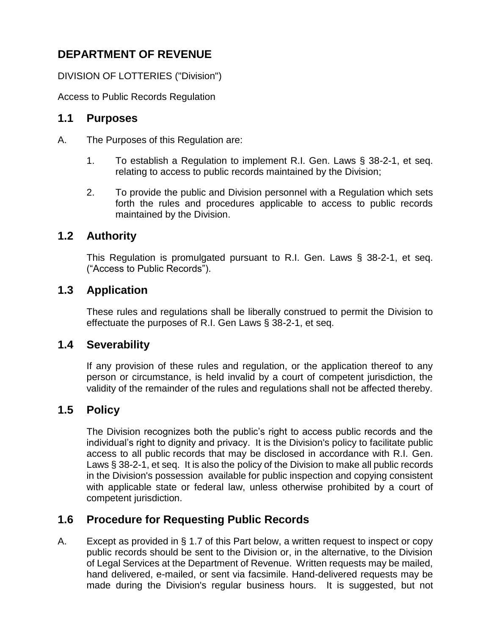# **DEPARTMENT OF REVENUE**

DIVISION OF LOTTERIES ("Division")

Access to Public Records Regulation

## **1.1 Purposes**

- A. The Purposes of this Regulation are:
	- 1. To establish a Regulation to implement R.I. Gen. Laws § 38-2-1, et seq. relating to access to public records maintained by the Division;
	- 2. To provide the public and Division personnel with a Regulation which sets forth the rules and procedures applicable to access to public records maintained by the Division.

### **1.2 Authority**

This Regulation is promulgated pursuant to R.I. Gen. Laws § 38-2-1, et seq. ("Access to Public Records").

## **1.3 Application**

These rules and regulations shall be liberally construed to permit the Division to effectuate the purposes of R.I. Gen Laws § 38-2-1, et seq.

### **1.4 Severability**

If any provision of these rules and regulation, or the application thereof to any person or circumstance, is held invalid by a court of competent jurisdiction, the validity of the remainder of the rules and regulations shall not be affected thereby.

## **1.5 Policy**

The Division recognizes both the public's right to access public records and the individual's right to dignity and privacy. It is the Division's policy to facilitate public access to all public records that may be disclosed in accordance with R.I. Gen. Laws § 38-2-1, et seq. It is also the policy of the Division to make all public records in the Division's possession available for public inspection and copying consistent with applicable state or federal law, unless otherwise prohibited by a court of competent jurisdiction.

## **1.6 Procedure for Requesting Public Records**

A. Except as provided in § 1.7 of this Part below, a written request to inspect or copy public records should be sent to the Division or, in the alternative, to the Division of Legal Services at the Department of Revenue. Written requests may be mailed, hand delivered, e-mailed, or sent via facsimile. Hand-delivered requests may be made during the Division's regular business hours. It is suggested, but not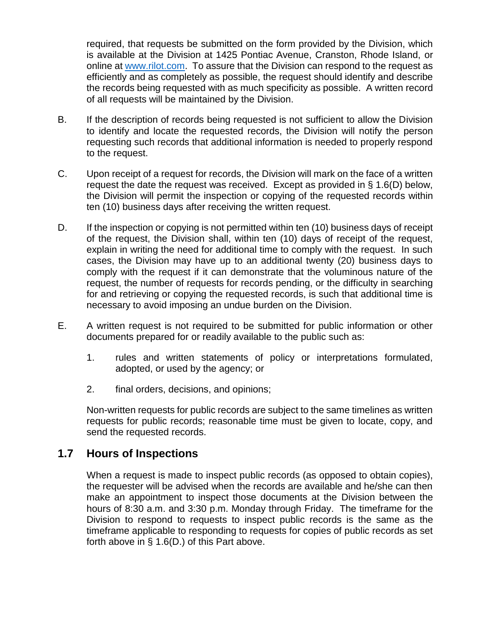required, that requests be submitted on the form provided by the Division, which is available at the Division at 1425 Pontiac Avenue, Cranston, Rhode Island, or online at [www.rilot.com.](http://www.rilot.com/) To assure that the Division can respond to the request as efficiently and as completely as possible, the request should identify and describe the records being requested with as much specificity as possible. A written record of all requests will be maintained by the Division.

- B. If the description of records being requested is not sufficient to allow the Division to identify and locate the requested records, the Division will notify the person requesting such records that additional information is needed to properly respond to the request.
- C. Upon receipt of a request for records, the Division will mark on the face of a written request the date the request was received. Except as provided in § 1.6(D) below, the Division will permit the inspection or copying of the requested records within ten (10) business days after receiving the written request.
- D. If the inspection or copying is not permitted within ten (10) business days of receipt of the request, the Division shall, within ten (10) days of receipt of the request, explain in writing the need for additional time to comply with the request. In such cases, the Division may have up to an additional twenty (20) business days to comply with the request if it can demonstrate that the voluminous nature of the request, the number of requests for records pending, or the difficulty in searching for and retrieving or copying the requested records, is such that additional time is necessary to avoid imposing an undue burden on the Division.
- E. A written request is not required to be submitted for public information or other documents prepared for or readily available to the public such as:
	- 1. rules and written statements of policy or interpretations formulated, adopted, or used by the agency; or
	- 2. final orders, decisions, and opinions;

Non-written requests for public records are subject to the same timelines as written requests for public records; reasonable time must be given to locate, copy, and send the requested records.

## **1.7 Hours of Inspections**

When a request is made to inspect public records (as opposed to obtain copies), the requester will be advised when the records are available and he/she can then make an appointment to inspect those documents at the Division between the hours of 8:30 a.m. and 3:30 p.m. Monday through Friday. The timeframe for the Division to respond to requests to inspect public records is the same as the timeframe applicable to responding to requests for copies of public records as set forth above in § 1.6(D.) of this Part above.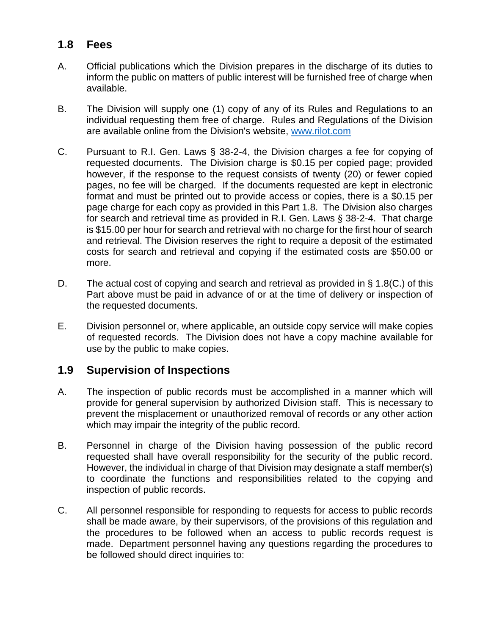## **1.8 Fees**

- A. Official publications which the Division prepares in the discharge of its duties to inform the public on matters of public interest will be furnished free of charge when available.
- B. The Division will supply one (1) copy of any of its Rules and Regulations to an individual requesting them free of charge. Rules and Regulations of the Division are available online from the Division's website, [www.rilot.com](http://www.rilot.com/)
- C. Pursuant to R.I. Gen. Laws § 38-2-4, the Division charges a fee for copying of requested documents. The Division charge is \$0.15 per copied page; provided however, if the response to the request consists of twenty (20) or fewer copied pages, no fee will be charged. If the documents requested are kept in electronic format and must be printed out to provide access or copies, there is a \$0.15 per page charge for each copy as provided in this Part 1.8. The Division also charges for search and retrieval time as provided in R.I. Gen. Laws § 38-2-4. That charge is \$15.00 per hour for search and retrieval with no charge for the first hour of search and retrieval. The Division reserves the right to require a deposit of the estimated costs for search and retrieval and copying if the estimated costs are \$50.00 or more.
- D. The actual cost of copying and search and retrieval as provided in § 1.8(C.) of this Part above must be paid in advance of or at the time of delivery or inspection of the requested documents.
- E. Division personnel or, where applicable, an outside copy service will make copies of requested records. The Division does not have a copy machine available for use by the public to make copies.

## **1.9 Supervision of Inspections**

- A. The inspection of public records must be accomplished in a manner which will provide for general supervision by authorized Division staff. This is necessary to prevent the misplacement or unauthorized removal of records or any other action which may impair the integrity of the public record.
- B. Personnel in charge of the Division having possession of the public record requested shall have overall responsibility for the security of the public record. However, the individual in charge of that Division may designate a staff member(s) to coordinate the functions and responsibilities related to the copying and inspection of public records.
- C. All personnel responsible for responding to requests for access to public records shall be made aware, by their supervisors, of the provisions of this regulation and the procedures to be followed when an access to public records request is made. Department personnel having any questions regarding the procedures to be followed should direct inquiries to: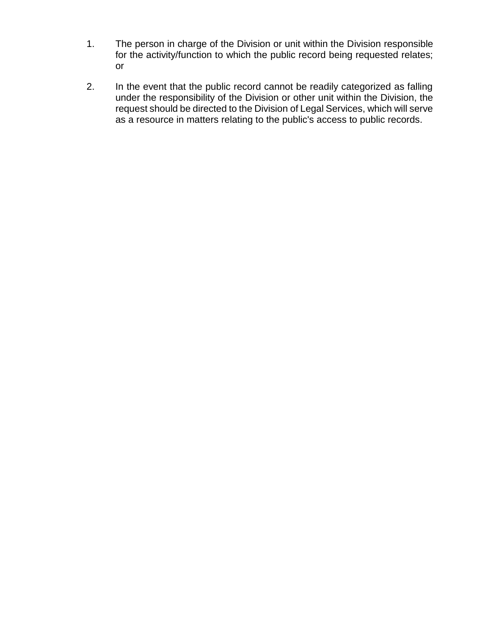- 1. The person in charge of the Division or unit within the Division responsible for the activity/function to which the public record being requested relates; or
- 2. In the event that the public record cannot be readily categorized as falling under the responsibility of the Division or other unit within the Division, the request should be directed to the Division of Legal Services, which will serve as a resource in matters relating to the public's access to public records.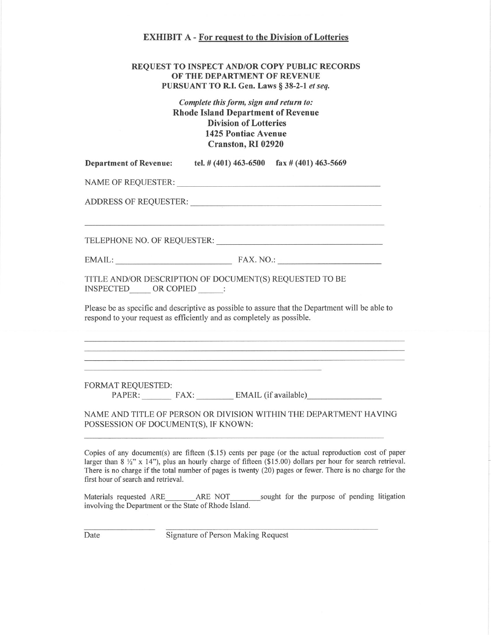### **EXHIBIT A - For request to the Division of Lotteries**

#### **REQUEST TO INSPECT AND/OR COPY PUBLIC RECORDS** OF THE DEPARTMENT OF REVENUE PURSUANT TO R.I. Gen. Laws § 38-2-1 et seq.

### Complete this form, sign and return to: **Rhode Island Department of Revenue Division of Lotteries 1425 Pontiac Avenue** Cranston, RI 02920

| <b>Department of Revenue:</b> | tel. # $(401)$ 463-6500 | $\text{fa} \times \# (401)$ 463-5669 |
|-------------------------------|-------------------------|--------------------------------------|
|-------------------------------|-------------------------|--------------------------------------|

NAME OF REQUESTER:

ADDRESS OF REQUESTER:

TELEPHONE NO. OF REQUESTER:

EMAIL: FAX. NO.:

TITLE AND/OR DESCRIPTION OF DOCUMENT(S) REQUESTED TO BE INSPECTED OR COPIED :

Please be as specific and descriptive as possible to assure that the Department will be able to respond to your request as efficiently and as completely as possible.

**FORMAT REOUESTED:** PAPER: FAX: EMAIL (if available)

NAME AND TITLE OF PERSON OR DIVISION WITHIN THE DEPARTMENT HAVING POSSESSION OF DOCUMENT(S), IF KNOWN:

Copies of any document(s) are fifteen (\$.15) cents per page (or the actual reproduction cost of paper larger than  $8\frac{1}{2}$ " x 14"), plus an hourly charge of fifteen (\$15.00) dollars per hour for search retrieval. There is no charge if the total number of pages is twenty (20) pages or fewer. There is no charge for the first hour of search and retrieval.

Materials requested ARE ARE NOT sought for the purpose of pending litigation involving the Department or the State of Rhode Island.

Date

Signature of Person Making Request